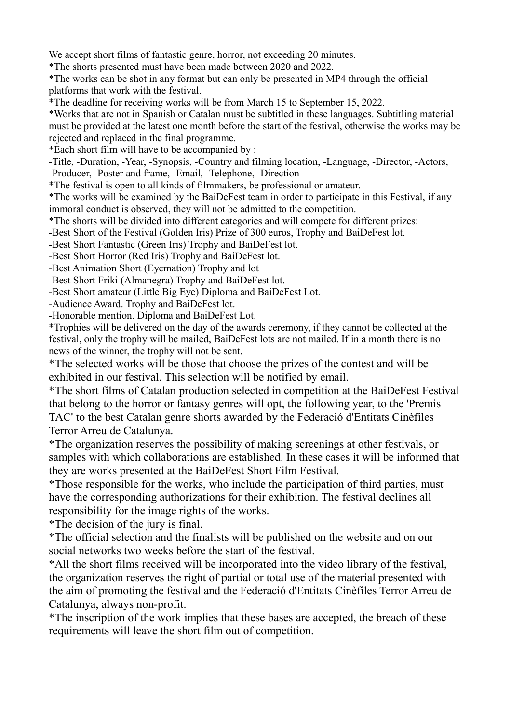We accept short films of fantastic genre, horror, not exceeding 20 minutes.

\*The shorts presented must have been made between 2020 and 2022.

\*The works can be shot in any format but can only be presented in MP4 through the official platforms that work with the festival.

\*The deadline for receiving works will be from March 15 to September 15, 2022.

\*Works that are not in Spanish or Catalan must be subtitled in these languages. Subtitling material must be provided at the latest one month before the start of the festival, otherwise the works may be rejected and replaced in the final programme.

\*Each short film will have to be accompanied by :

-Title, -Duration, -Year, -Synopsis, -Country and filming location, -Language, -Director, -Actors, -Producer, -Poster and frame, -Email, -Telephone, -Direction

\*The festival is open to all kinds of filmmakers, be professional or amateur.

\*The works will be examined by the BaiDeFest team in order to participate in this Festival, if any immoral conduct is observed, they will not be admitted to the competition.

\*The shorts will be divided into different categories and will compete for different prizes:

-Best Short of the Festival (Golden Iris) Prize of 300 euros, Trophy and BaiDeFest lot.

-Best Short Fantastic (Green Iris) Trophy and BaiDeFest lot.

-Best Short Horror (Red Iris) Trophy and BaiDeFest lot.

-Best Animation Short (Eyemation) Trophy and lot

-Best Short Friki (Almanegra) Trophy and BaiDeFest lot.

-Best Short amateur (Little Big Eye) Diploma and BaiDeFest Lot.

-Audience Award. Trophy and BaiDeFest lot.

-Honorable mention. Diploma and BaiDeFest Lot.

\*Trophies will be delivered on the day of the awards ceremony, if they cannot be collected at the festival, only the trophy will be mailed, BaiDeFest lots are not mailed. If in a month there is no news of the winner, the trophy will not be sent.

\*The selected works will be those that choose the prizes of the contest and will be exhibited in our festival. This selection will be notified by email.

\*The short films of Catalan production selected in competition at the BaiDeFest Festival that belong to the horror or fantasy genres will opt, the following year, to the 'Premis TAC' to the best Catalan genre shorts awarded by the Federació d'Entitats Cinèfiles Terror Arreu de Catalunya.

\*The organization reserves the possibility of making screenings at other festivals, or samples with which collaborations are established. In these cases it will be informed that they are works presented at the BaiDeFest Short Film Festival.

\*Those responsible for the works, who include the participation of third parties, must have the corresponding authorizations for their exhibition. The festival declines all responsibility for the image rights of the works.

\*The decision of the jury is final.

\*The official selection and the finalists will be published on the website and on our social networks two weeks before the start of the festival.

\*All the short films received will be incorporated into the video library of the festival, the organization reserves the right of partial or total use of the material presented with the aim of promoting the festival and the Federació d'Entitats Cinèfiles Terror Arreu de Catalunya, always non-profit.

\*The inscription of the work implies that these bases are accepted, the breach of these requirements will leave the short film out of competition.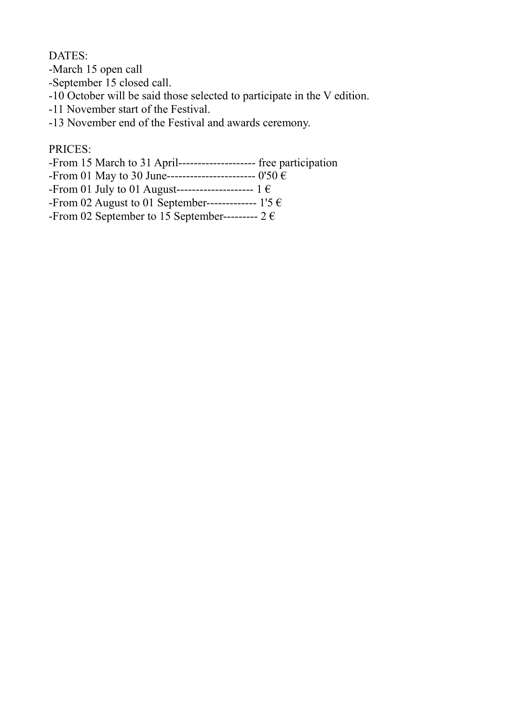DATES:

-March 15 open call

-September 15 closed call.

-10 October will be said those selected to participate in the V edition.

-11 November start of the Festival.

-13 November end of the Festival and awards ceremony.

## PRICES:

-From 15 March to 31 April-------------------- free participation

-From 01 May to 30 June----------------------- 0'50 €

-From 01 July to 01 August--------------------------  $1 \in$ 

-From 02 August to 01 September-------------- 1'5  $\epsilon$ 

-From 02 September to 15 September----------  $2 \in$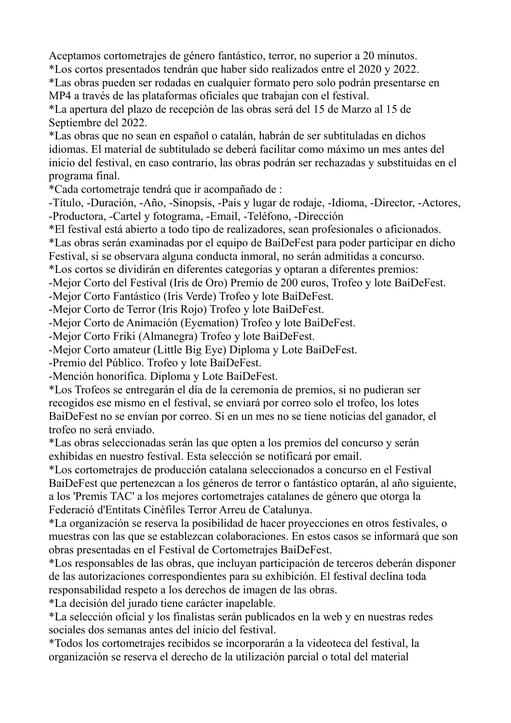Aceptamos cortometrajes de género fantástico, terror, no superior a 20 minutos. \*Los cortos presentados tendrán que haber sido realizados entre el 2020 y 2022.

\*Las obras pueden ser rodadas en cualquier formato pero solo podrán presentarse en MP4 a través de las plataformas oficiales que trabajan con el festival.

\*La apertura del plazo de recepción de las obras será del 15 de Marzo al 15 de Septiembre del 2022.

\*Las obras que no sean en español o catalán, habrán de ser subtituladas en dichos idiomas. El material de subtitulado se deberá facilitar como máximo un mes antes del inicio del festival, en caso contrario, las obras podrán ser rechazadas y substituidas en el programa final.

\*Cada cortometraje tendrá que ir acompañado de :

-Título, -Duración, -Año, -Sinopsis, -País y lugar de rodaje, -Idioma, -Director, -Actores, -Productora, -Cartel y fotograma, -Email, -Teléfono, -Dirección

\*El festival está abierto a todo tipo de realizadores, sean profesionales o aficionados.

\*Las obras serán examinadas por el equipo de BaiDeFest para poder participar en dicho Festival, si se observara alguna conducta inmoral, no serán admitidas a concurso.

\*Los cortos se dividirán en diferentes categorías y optaran a diferentes premios:

-Mejor Corto del Festival (Iris de Oro) Premio de 200 euros, Trofeo y lote BaiDeFest.

-Mejor Corto Fantástico (Iris Verde) Trofeo y lote BaiDeFest.

-Mejor Corto de Terror (Iris Rojo) Trofeo y lote BaiDeFest.

-Mejor Corto de Animación (Eyemation) Trofeo y lote BaiDeFest.

-Mejor Corto Friki (Almanegra) Trofeo y lote BaiDeFest.

-Mejor Corto amateur (Little Big Eye) Diploma y Lote BaiDeFest.

-Premio del Público. Trofeo y lote BaiDeFest.

-Mención honorífica. Diploma y Lote BaiDeFest.

\*Los Trofeos se entregarán el día de la ceremonia de premios, si no pudieran ser recogidos ese mismo en el festival, se enviará por correo solo el trofeo, los lotes BaiDeFest no se envían por correo. Si en un mes no se tiene noticias del ganador, el trofeo no será enviado.

\*Las obras seleccionadas serán las que opten a los premios del concurso y serán exhibidas en nuestro festival. Esta selección se notificará por email.

\*Los cortometrajes de producción catalana seleccionados a concurso en el Festival BaiDeFest que pertenezcan a los géneros de terror o fantástico optarán, al año siguiente, a los 'Premis TAC' a los mejores cortometrajes catalanes de género que otorga la Federació d'Entitats Cinèfiles Terror Arreu de Catalunya.

\*La organización se reserva la posibilidad de hacer proyecciones en otros festivales, o muestras con las que se establezcan colaboraciones. En estos casos se informará que son obras presentadas en el Festival de Cortometrajes BaiDeFest.

\*Los responsables de las obras, que incluyan participación de terceros deberán disponer de las autorizaciones correspondientes para su exhibición. El festival declina toda responsabilidad respeto a los derechos de imagen de las obras.

\*La decisión del jurado tiene carácter inapelable.

\*La selección oficial y los finalistas serán publicados en la web y en nuestras redes sociales dos semanas antes del inicio del festival.

\*Todos los cortometrajes recibidos se incorporarán a la videoteca del festival, la organización se reserva el derecho de la utilización parcial o total del material